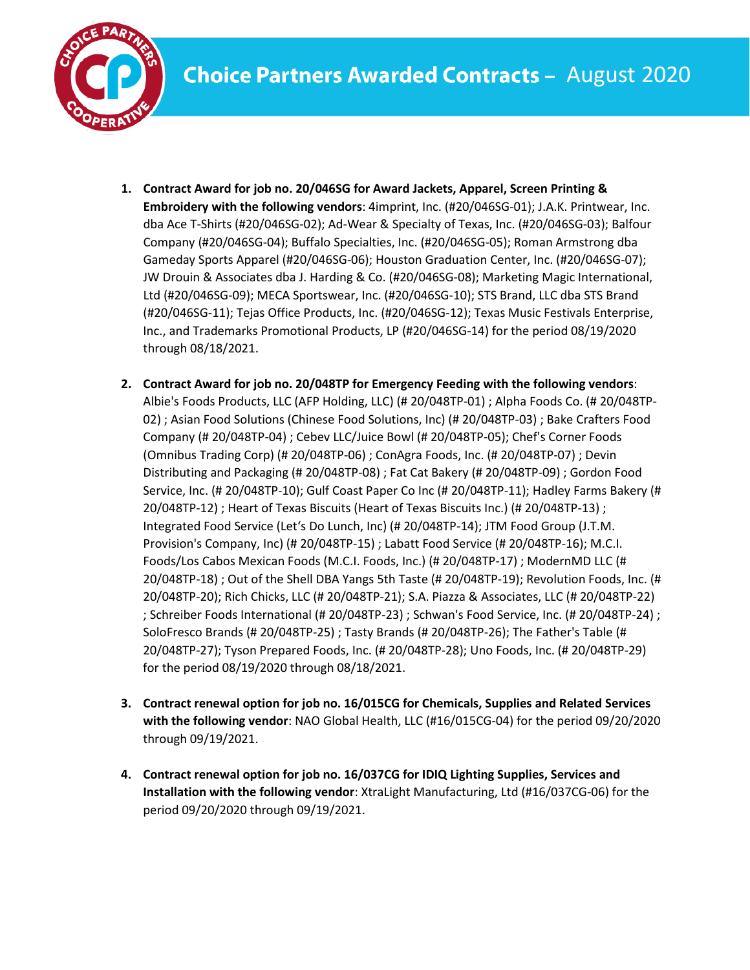

- **1. Contract Award for job no. 20/046SG for Award Jackets, Apparel, Screen Printing & Embroidery with the following vendors**: 4imprint, Inc. (#20/046SG-01); J.A.K. Printwear, Inc. dba Ace T-Shirts (#20/046SG-02); Ad-Wear & Specialty of Texas, Inc. (#20/046SG-03); Balfour Company (#20/046SG-04); Buffalo Specialties, Inc. (#20/046SG-05); Roman Armstrong dba Gameday Sports Apparel (#20/046SG-06); Houston Graduation Center, Inc. (#20/046SG-07); JW Drouin & Associates dba J. Harding & Co. (#20/046SG-08); Marketing Magic International, Ltd (#20/046SG-09); MECA Sportswear, Inc. (#20/046SG-10); STS Brand, LLC dba STS Brand (#20/046SG-11); Tejas Office Products, Inc. (#20/046SG-12); Texas Music Festivals Enterprise, Inc., and Trademarks Promotional Products, LP (#20/046SG-14) for the period 08/19/2020 through 08/18/2021.
- **2. Contract Award for job no. 20/048TP for Emergency Feeding with the following vendors**: Albie's Foods Products, LLC (AFP Holding, LLC) (# 20/048TP-01) ; Alpha Foods Co. (# 20/048TP-02) ; Asian Food Solutions (Chinese Food Solutions, Inc) (# 20/048TP-03) ; Bake Crafters Food Company (# 20/048TP-04) ; Cebev LLC/Juice Bowl (# 20/048TP-05); Chef's Corner Foods (Omnibus Trading Corp) (# 20/048TP-06) ; ConAgra Foods, Inc. (# 20/048TP-07) ; Devin Distributing and Packaging (# 20/048TP-08) ; Fat Cat Bakery (# 20/048TP-09) ; Gordon Food Service, Inc. (# 20/048TP-10); Gulf Coast Paper Co Inc (# 20/048TP-11); Hadley Farms Bakery (# 20/048TP-12) ; Heart of Texas Biscuits (Heart of Texas Biscuits Inc.) (# 20/048TP-13) ; Integrated Food Service (Let's Do Lunch, Inc) (# 20/048TP-14); JTM Food Group (J.T.M. Provision's Company, Inc) (# 20/048TP-15) ; Labatt Food Service (# 20/048TP-16); M.C.I. Foods/Los Cabos Mexican Foods (M.C.I. Foods, Inc.) (# 20/048TP-17) ; ModernMD LLC (# 20/048TP-18) ; Out of the Shell DBA Yangs 5th Taste (# 20/048TP-19); Revolution Foods, Inc. (# 20/048TP-20); Rich Chicks, LLC (# 20/048TP-21); S.A. Piazza & Associates, LLC (# 20/048TP-22) ; Schreiber Foods International (# 20/048TP-23) ; Schwan's Food Service, Inc. (# 20/048TP-24) ; SoloFresco Brands (# 20/048TP-25) ; Tasty Brands (# 20/048TP-26); The Father's Table (# 20/048TP-27); Tyson Prepared Foods, Inc. (# 20/048TP-28); Uno Foods, Inc. (# 20/048TP-29) for the period 08/19/2020 through 08/18/2021.
- **3. Contract renewal option for job no. 16/015CG for Chemicals, Supplies and Related Services with the following vendor**: NAO Global Health, LLC (#16/015CG-04) for the period 09/20/2020 through 09/19/2021.
- **4. Contract renewal option for job no. 16/037CG for IDIQ Lighting Supplies, Services and Installation with the following vendor**: XtraLight Manufacturing, Ltd (#16/037CG-06) for the period 09/20/2020 through 09/19/2021.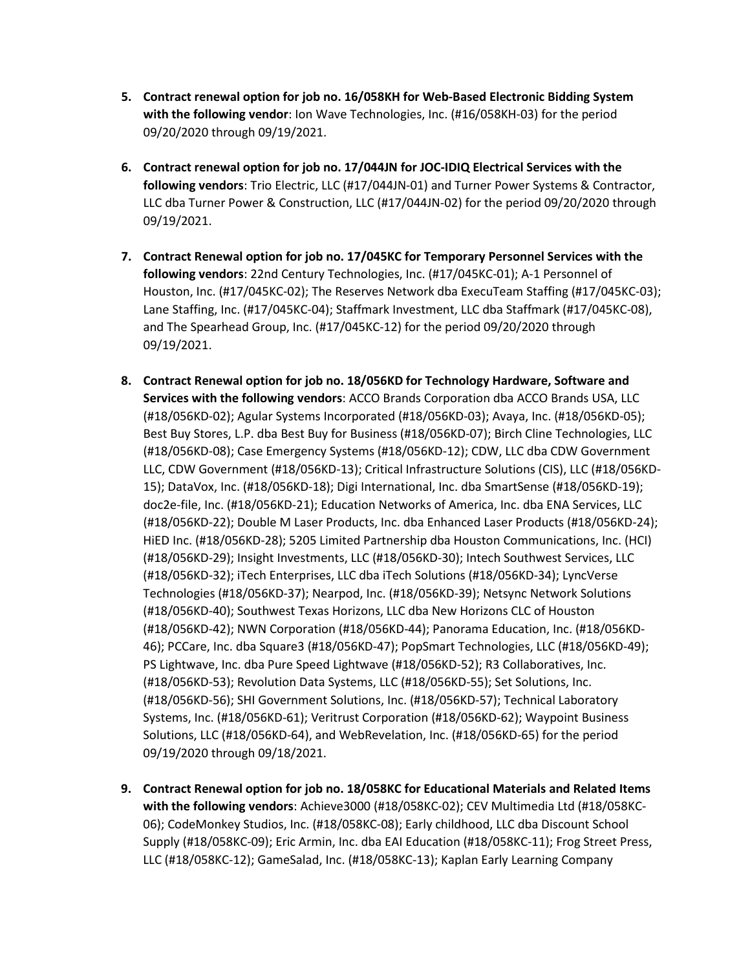- **5. Contract renewal option for job no. 16/058KH for Web-Based Electronic Bidding System with the following vendor**: Ion Wave Technologies, Inc. (#16/058KH-03) for the period 09/20/2020 through 09/19/2021.
- **6. Contract renewal option for job no. 17/044JN for JOC-IDIQ Electrical Services with the following vendors**: Trio Electric, LLC (#17/044JN-01) and Turner Power Systems & Contractor, LLC dba Turner Power & Construction, LLC (#17/044JN-02) for the period 09/20/2020 through 09/19/2021.
- **7. Contract Renewal option for job no. 17/045KC for Temporary Personnel Services with the following vendors**: 22nd Century Technologies, Inc. (#17/045KC-01); A-1 Personnel of Houston, Inc. (#17/045KC-02); The Reserves Network dba ExecuTeam Staffing (#17/045KC-03); Lane Staffing, Inc. (#17/045KC-04); Staffmark Investment, LLC dba Staffmark (#17/045KC-08), and The Spearhead Group, Inc. (#17/045KC-12) for the period 09/20/2020 through 09/19/2021.
- **8. Contract Renewal option for job no. 18/056KD for Technology Hardware, Software and Services with the following vendors**: ACCO Brands Corporation dba ACCO Brands USA, LLC (#18/056KD-02); Agular Systems Incorporated (#18/056KD-03); Avaya, Inc. (#18/056KD-05); Best Buy Stores, L.P. dba Best Buy for Business (#18/056KD-07); Birch Cline Technologies, LLC (#18/056KD-08); Case Emergency Systems (#18/056KD-12); CDW, LLC dba CDW Government LLC, CDW Government (#18/056KD-13); Critical Infrastructure Solutions (CIS), LLC (#18/056KD-15); DataVox, Inc. (#18/056KD-18); Digi International, Inc. dba SmartSense (#18/056KD-19); doc2e-file, Inc. (#18/056KD-21); Education Networks of America, Inc. dba ENA Services, LLC (#18/056KD-22); Double M Laser Products, Inc. dba Enhanced Laser Products (#18/056KD-24); HiED Inc. (#18/056KD-28); 5205 Limited Partnership dba Houston Communications, Inc. (HCI) (#18/056KD-29); Insight Investments, LLC (#18/056KD-30); Intech Southwest Services, LLC (#18/056KD-32); iTech Enterprises, LLC dba iTech Solutions (#18/056KD-34); LyncVerse Technologies (#18/056KD-37); Nearpod, Inc. (#18/056KD-39); Netsync Network Solutions (#18/056KD-40); Southwest Texas Horizons, LLC dba New Horizons CLC of Houston (#18/056KD-42); NWN Corporation (#18/056KD-44); Panorama Education, Inc. (#18/056KD-46); PCCare, Inc. dba Square3 (#18/056KD-47); PopSmart Technologies, LLC (#18/056KD-49); PS Lightwave, Inc. dba Pure Speed Lightwave (#18/056KD-52); R3 Collaboratives, Inc. (#18/056KD-53); Revolution Data Systems, LLC (#18/056KD-55); Set Solutions, Inc. (#18/056KD-56); SHI Government Solutions, Inc. (#18/056KD-57); Technical Laboratory Systems, Inc. (#18/056KD-61); Veritrust Corporation (#18/056KD-62); Waypoint Business Solutions, LLC (#18/056KD-64), and WebRevelation, Inc. (#18/056KD-65) for the period 09/19/2020 through 09/18/2021.
- **9. Contract Renewal option for job no. 18/058KC for Educational Materials and Related Items with the following vendors**: Achieve3000 (#18/058KC-02); CEV Multimedia Ltd (#18/058KC-06); CodeMonkey Studios, Inc. (#18/058KC-08); Early childhood, LLC dba Discount School Supply (#18/058KC-09); Eric Armin, Inc. dba EAI Education (#18/058KC-11); Frog Street Press, LLC (#18/058KC-12); GameSalad, Inc. (#18/058KC-13); Kaplan Early Learning Company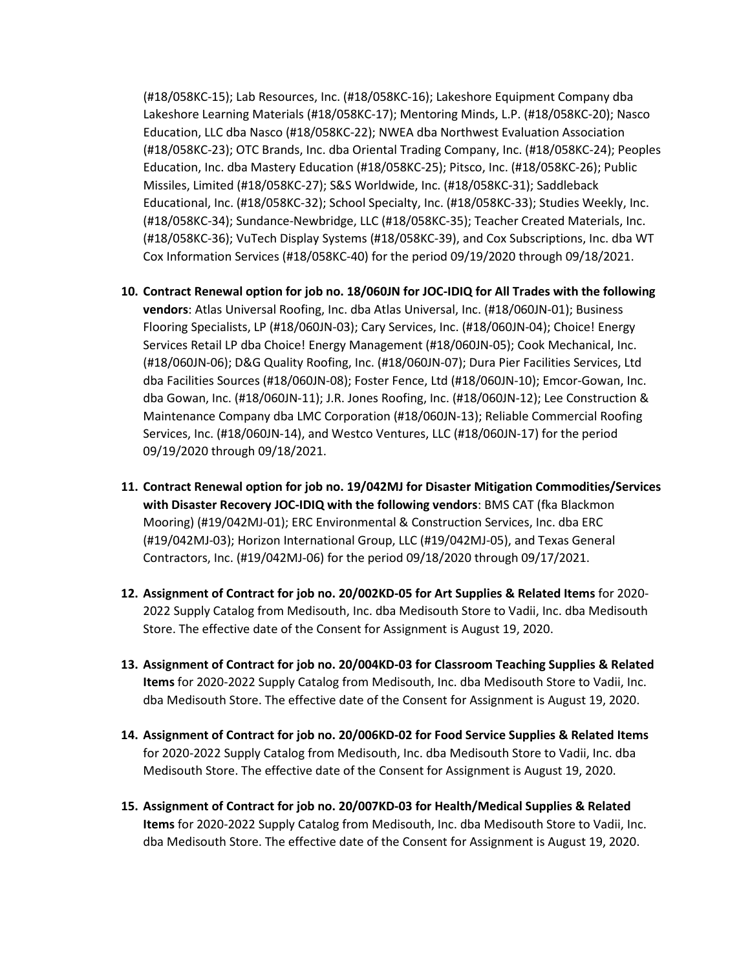(#18/058KC-15); Lab Resources, Inc. (#18/058KC-16); Lakeshore Equipment Company dba Lakeshore Learning Materials (#18/058KC-17); Mentoring Minds, L.P. (#18/058KC-20); Nasco Education, LLC dba Nasco (#18/058KC-22); NWEA dba Northwest Evaluation Association (#18/058KC-23); OTC Brands, Inc. dba Oriental Trading Company, Inc. (#18/058KC-24); Peoples Education, Inc. dba Mastery Education (#18/058KC-25); Pitsco, Inc. (#18/058KC-26); Public Missiles, Limited (#18/058KC-27); S&S Worldwide, Inc. (#18/058KC-31); Saddleback Educational, Inc. (#18/058KC-32); School Specialty, Inc. (#18/058KC-33); Studies Weekly, Inc. (#18/058KC-34); Sundance-Newbridge, LLC (#18/058KC-35); Teacher Created Materials, Inc. (#18/058KC-36); VuTech Display Systems (#18/058KC-39), and Cox Subscriptions, Inc. dba WT Cox Information Services (#18/058KC-40) for the period 09/19/2020 through 09/18/2021.

- **10. Contract Renewal option for job no. 18/060JN for JOC-IDIQ for All Trades with the following vendors**: Atlas Universal Roofing, Inc. dba Atlas Universal, Inc. (#18/060JN-01); Business Flooring Specialists, LP (#18/060JN-03); Cary Services, Inc. (#18/060JN-04); Choice! Energy Services Retail LP dba Choice! Energy Management (#18/060JN-05); Cook Mechanical, Inc. (#18/060JN-06); D&G Quality Roofing, Inc. (#18/060JN-07); Dura Pier Facilities Services, Ltd dba Facilities Sources (#18/060JN-08); Foster Fence, Ltd (#18/060JN-10); Emcor-Gowan, Inc. dba Gowan, Inc. (#18/060JN-11); J.R. Jones Roofing, Inc. (#18/060JN-12); Lee Construction & Maintenance Company dba LMC Corporation (#18/060JN-13); Reliable Commercial Roofing Services, Inc. (#18/060JN-14), and Westco Ventures, LLC (#18/060JN-17) for the period 09/19/2020 through 09/18/2021.
- **11. Contract Renewal option for job no. 19/042MJ for Disaster Mitigation Commodities/Services with Disaster Recovery JOC-IDIQ with the following vendors**: BMS CAT (fka Blackmon Mooring) (#19/042MJ-01); ERC Environmental & Construction Services, Inc. dba ERC (#19/042MJ-03); Horizon International Group, LLC (#19/042MJ-05), and Texas General Contractors, Inc. (#19/042MJ-06) for the period 09/18/2020 through 09/17/2021.
- **12. Assignment of Contract for job no. 20/002KD-05 for Art Supplies & Related Items** for 2020- 2022 Supply Catalog from Medisouth, Inc. dba Medisouth Store to Vadii, Inc. dba Medisouth Store. The effective date of the Consent for Assignment is August 19, 2020.
- **13. Assignment of Contract for job no. 20/004KD-03 for Classroom Teaching Supplies & Related Items** for 2020-2022 Supply Catalog from Medisouth, Inc. dba Medisouth Store to Vadii, Inc. dba Medisouth Store. The effective date of the Consent for Assignment is August 19, 2020.
- **14. Assignment of Contract for job no. 20/006KD-02 for Food Service Supplies & Related Items** for 2020-2022 Supply Catalog from Medisouth, Inc. dba Medisouth Store to Vadii, Inc. dba Medisouth Store. The effective date of the Consent for Assignment is August 19, 2020.
- **15. Assignment of Contract for job no. 20/007KD-03 for Health/Medical Supplies & Related Items** for 2020-2022 Supply Catalog from Medisouth, Inc. dba Medisouth Store to Vadii, Inc. dba Medisouth Store. The effective date of the Consent for Assignment is August 19, 2020.